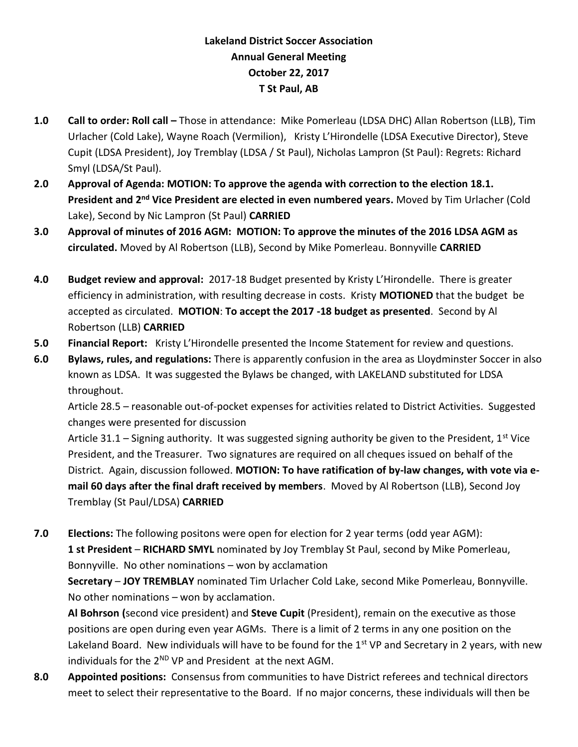## **Lakeland District Soccer Association Annual General Meeting October 22, 2017 T St Paul, AB**

- **1.0 Call to order: Roll call –** Those in attendance: Mike Pomerleau (LDSA DHC) Allan Robertson (LLB), Tim Urlacher (Cold Lake), Wayne Roach (Vermilion), Kristy L'Hirondelle (LDSA Executive Director), Steve Cupit (LDSA President), Joy Tremblay (LDSA / St Paul), Nicholas Lampron (St Paul): Regrets: Richard Smyl (LDSA/St Paul).
- **2.0 Approval of Agenda: MOTION: To approve the agenda with correction to the election 18.1. President and 2nd Vice President are elected in even numbered years.** Moved by Tim Urlacher (Cold Lake), Second by Nic Lampron (St Paul) **CARRIED**
- **3.0 Approval of minutes of 2016 AGM: MOTION: To approve the minutes of the 2016 LDSA AGM as circulated.** Moved by Al Robertson (LLB), Second by Mike Pomerleau. Bonnyville **CARRIED**
- **4.0 Budget review and approval:** 2017-18 Budget presented by Kristy L'Hirondelle. There is greater efficiency in administration, with resulting decrease in costs. Kristy **MOTIONED** that the budget be accepted as circulated. **MOTION**: **To accept the 2017 -18 budget as presented**. Second by Al Robertson (LLB) **CARRIED**
- **5.0 Financial Report:** Kristy L'Hirondelle presented the Income Statement for review and questions.
- **6.0 Bylaws, rules, and regulations:** There is apparently confusion in the area as Lloydminster Soccer in also known as LDSA. It was suggested the Bylaws be changed, with LAKELAND substituted for LDSA throughout.

Article 28.5 – reasonable out-of-pocket expenses for activities related to District Activities. Suggested changes were presented for discussion

Article 31.1 – Signing authority. It was suggested signing authority be given to the President,  $1^{st}$  Vice President, and the Treasurer. Two signatures are required on all cheques issued on behalf of the District. Again, discussion followed. **MOTION: To have ratification of by-law changes, with vote via email 60 days after the final draft received by members**. Moved by Al Robertson (LLB), Second Joy Tremblay (St Paul/LDSA) **CARRIED**

**7.0 Elections:** The following positons were open for election for 2 year terms (odd year AGM): **1 st President** – **RICHARD SMYL** nominated by Joy Tremblay St Paul, second by Mike Pomerleau, Bonnyville. No other nominations – won by acclamation

**Secretary** – **JOY TREMBLAY** nominated Tim Urlacher Cold Lake, second Mike Pomerleau, Bonnyville. No other nominations – won by acclamation.

**Al Bohrson (**second vice president) and **Steve Cupit** (President), remain on the executive as those positions are open during even year AGMs. There is a limit of 2 terms in any one position on the Lakeland Board. New individuals will have to be found for the 1<sup>st</sup> VP and Secretary in 2 years, with new individuals for the  $2^{ND}$  VP and President at the next AGM.

**8.0 Appointed positions:** Consensus from communities to have District referees and technical directors meet to select their representative to the Board. If no major concerns, these individuals will then be